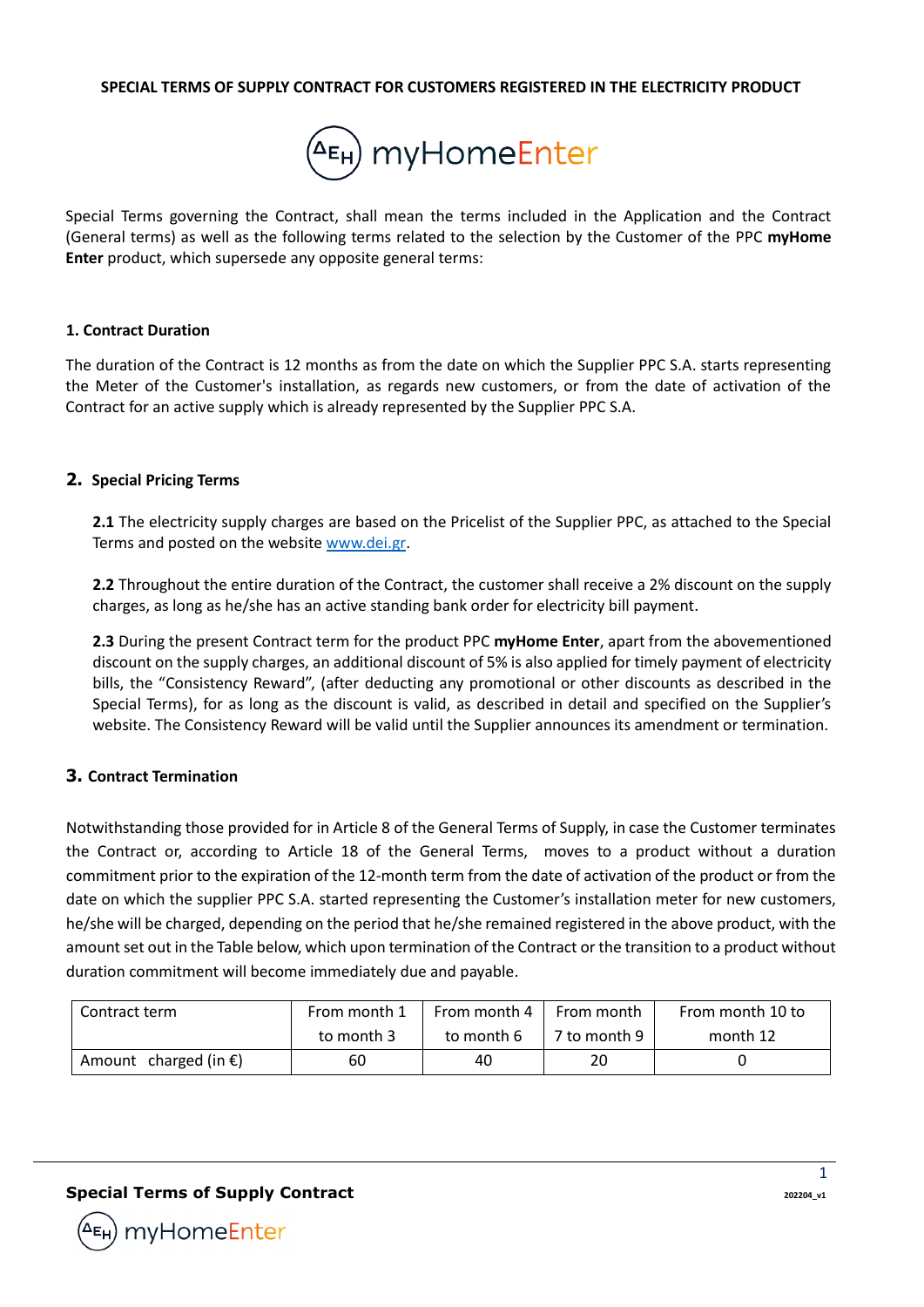#### **SPECIAL TERMS OF SUPPLY CONTRACT FOR CUSTOMERS REGISTERED IN THE ELECTRICITY PRODUCT**



Special Terms governing the Contract, shall mean the terms included in the Application and the Contract (General terms) as well as the following terms related to the selection by the Customer of the PPC **myHome Enter** product, which supersede any opposite general terms:

#### **1. Contract Duration**

The duration of the Contract is 12 months as from the date on which the Supplier PPC S.A. starts representing the Meter of the Customer's installation, as regards new customers, or from the date of activation of the Contract for an active supply which is already represented by the Supplier PPC S.A.

### **2. Special Pricing Terms**

**2.1** The electricity supply charges are based on the Pricelist of the Supplier PPC, as attached to the Special Terms and posted on the website www.dei.gr.

**2.2** Throughout the entire duration of the Contract, the customer shall receive a 2% discount on the supply charges, as long as he/she has an active standing bank order for electricity bill payment.

**2.3** During the present Contract term for the product PPC **myHome Enter**, apart from the abovementioned discount on the supply charges, an additional discount of 5% is also applied for timely payment of electricity bills, the "Consistency Reward", (after deducting any promotional or other discounts as described in the Special Terms), for as long as the discount is valid, as described in detail and specified on the Supplier's website. The Consistency Reward will be valid until the Supplier announces its amendment or termination.

## **3. Contract Termination**

Notwithstanding those provided for in Article 8 of the General Terms of Supply, in case the Customer terminates the Contract or, according to Article 18 of the General Terms, moves to a product without a duration commitment prior to the expiration of the 12-month term from the date of activation of the product or from the date on which the supplier PPC S.A. started representing the Customer's installation meter for new customers, he/she will be charged, depending on the period that he/she remained registered in the above product, with the amount set out in the Table below, which upon termination of the Contract or the transition to a product without duration commitment will become immediately due and payable.

| Contract term                   | From month 1 | From month 4 | From month   | From month 10 to |
|---------------------------------|--------------|--------------|--------------|------------------|
|                                 | to month 3   | to month 6   | 7 to month 9 | month 12         |
| Amount charged (in $\epsilon$ ) | 60           | 40           | 20           |                  |

## **Special Terms of Supply Contract Contract 202204\_v1**